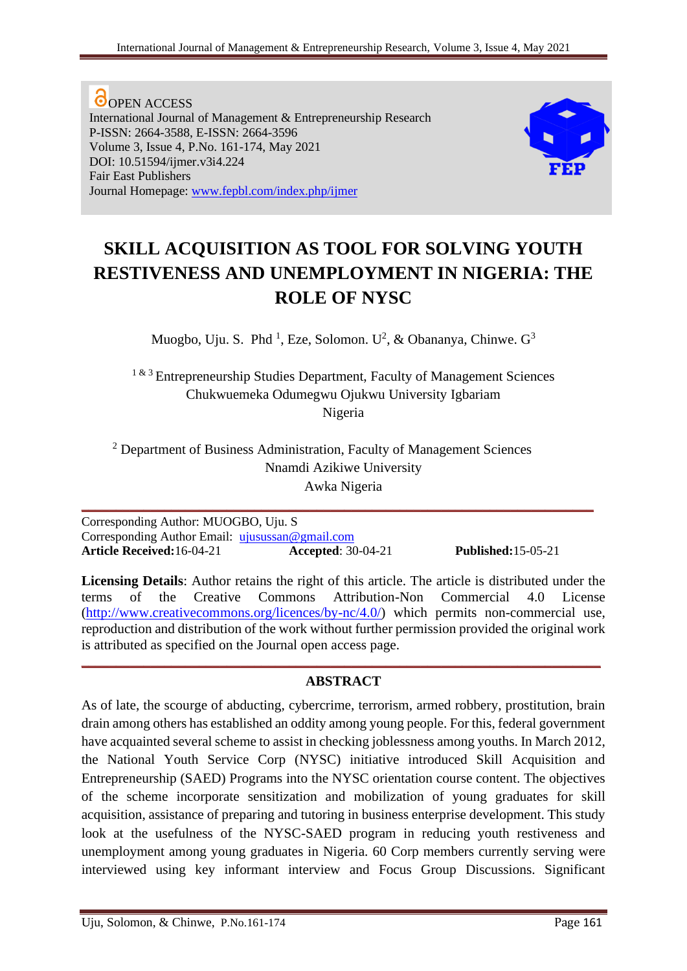**O**OPEN ACCESS International Journal of Management & Entrepreneurship Research P-ISSN: 2664-3588, E-ISSN: 2664-3596 Volume 3, Issue 4, P.No. 161-174, May 2021 DOI: 10.51594/ijmer.v3i4.224 Fair East Publishers Journal Homepage: [www.fepbl.com/index.php/ijmer](http://www.fepbl.com/index.php/ijmer)



# **SKILL ACQUISITION AS TOOL FOR SOLVING YOUTH RESTIVENESS AND UNEMPLOYMENT IN NIGERIA: THE ROLE OF NYSC**

Muogbo, Uju. S. Phd<sup>1</sup>, Eze, Solomon. U<sup>2</sup>, & Obananya, Chinwe. G<sup>3</sup>

<sup>1 & 3</sup> Entrepreneurship Studies Department, Faculty of Management Sciences Chukwuemeka Odumegwu Ojukwu University Igbariam Nigeria

<sup>2</sup> Department of Business Administration, Faculty of Management Sciences Nnamdi Azikiwe University Awka Nigeria

**\_\_\_\_\_\_\_\_\_\_\_\_\_\_\_\_\_\_\_\_\_\_\_\_\_\_\_\_\_\_\_\_\_\_\_\_\_\_\_\_\_\_\_\_\_\_\_\_\_\_\_\_\_\_\_\_\_\_\_\_\_\_\_\_\_\_\_\_\_\_\_\_\_\_**

Corresponding Author: MUOGBO, Uju. S Corresponding Author Email: [ujusussan@gmail.com](mailto:ujusussan@gmail.com) **Article Received:**16-04-21 **Accepted**: 30-04-21 **Published:**15-05-21

**Licensing Details**: Author retains the right of this article. The article is distributed under the terms of the Creative Commons Attribution-Non Commercial 4.0 License [\(http://www.creativecommons.org/licences/by-nc/4.0/\)](http://www.creativecommons.org/licences/by-nc/4.0/) which permits non-commercial use, reproduction and distribution of the work without further permission provided the original work is attributed as specified on the Journal open access page.

## **ABSTRACT**

**\_\_\_\_\_\_\_\_\_\_\_\_\_\_\_\_\_\_\_\_\_\_\_\_\_\_\_\_\_\_\_\_\_\_\_\_\_\_\_\_\_\_\_\_\_\_\_\_\_\_\_\_\_\_\_\_\_\_\_\_\_\_\_\_\_\_\_\_\_\_\_\_\_\_\_**

As of late, the scourge of abducting, cybercrime, terrorism, armed robbery, prostitution, brain drain among others has established an oddity among young people. For this, federal government have acquainted several scheme to assist in checking joblessness among youths. In March 2012, the National Youth Service Corp (NYSC) initiative introduced Skill Acquisition and Entrepreneurship (SAED) Programs into the NYSC orientation course content. The objectives of the scheme incorporate sensitization and mobilization of young graduates for skill acquisition, assistance of preparing and tutoring in business enterprise development. This study look at the usefulness of the NYSC-SAED program in reducing youth restiveness and unemployment among young graduates in Nigeria. 60 Corp members currently serving were interviewed using key informant interview and Focus Group Discussions. Significant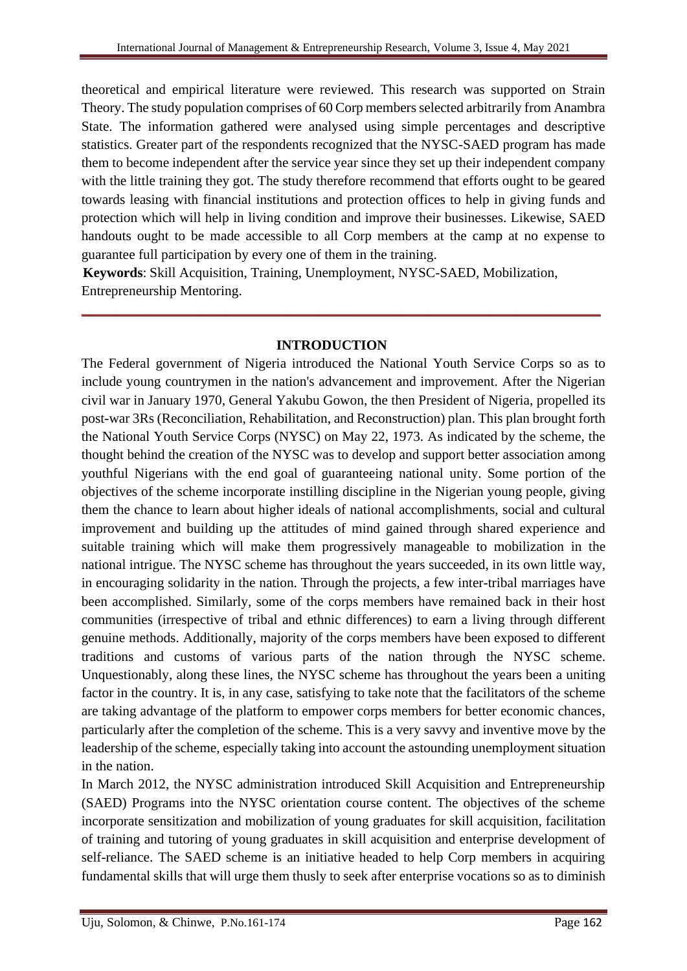theoretical and empirical literature were reviewed. This research was supported on Strain Theory. The study population comprises of 60 Corp members selected arbitrarily from Anambra State. The information gathered were analysed using simple percentages and descriptive statistics. Greater part of the respondents recognized that the NYSC-SAED program has made them to become independent after the service year since they set up their independent company with the little training they got. The study therefore recommend that efforts ought to be geared towards leasing with financial institutions and protection offices to help in giving funds and protection which will help in living condition and improve their businesses. Likewise, SAED handouts ought to be made accessible to all Corp members at the camp at no expense to guarantee full participation by every one of them in the training.

**Keywords**: Skill Acquisition, Training, Unemployment, NYSC-SAED, Mobilization, Entrepreneurship Mentoring.

## **INTRODUCTION**

**\_\_\_\_\_\_\_\_\_\_\_\_\_\_\_\_\_\_\_\_\_\_\_\_\_\_\_\_\_\_\_\_\_\_\_\_\_\_\_\_\_\_\_\_\_\_\_\_\_\_\_\_\_\_\_\_\_\_\_\_\_\_\_\_\_\_\_\_\_\_\_\_\_\_\_**

The Federal government of Nigeria introduced the National Youth Service Corps so as to include young countrymen in the nation's advancement and improvement. After the Nigerian civil war in January 1970, General Yakubu Gowon, the then President of Nigeria, propelled its post-war 3Rs (Reconciliation, Rehabilitation, and Reconstruction) plan. This plan brought forth the National Youth Service Corps (NYSC) on May 22, 1973. As indicated by the scheme, the thought behind the creation of the NYSC was to develop and support better association among youthful Nigerians with the end goal of guaranteeing national unity. Some portion of the objectives of the scheme incorporate instilling discipline in the Nigerian young people, giving them the chance to learn about higher ideals of national accomplishments, social and cultural improvement and building up the attitudes of mind gained through shared experience and suitable training which will make them progressively manageable to mobilization in the national intrigue. The NYSC scheme has throughout the years succeeded, in its own little way, in encouraging solidarity in the nation. Through the projects, a few inter-tribal marriages have been accomplished. Similarly, some of the corps members have remained back in their host communities (irrespective of tribal and ethnic differences) to earn a living through different genuine methods. Additionally, majority of the corps members have been exposed to different traditions and customs of various parts of the nation through the NYSC scheme. Unquestionably, along these lines, the NYSC scheme has throughout the years been a uniting factor in the country. It is, in any case, satisfying to take note that the facilitators of the scheme are taking advantage of the platform to empower corps members for better economic chances, particularly after the completion of the scheme. This is a very savvy and inventive move by the leadership of the scheme, especially taking into account the astounding unemployment situation in the nation.

In March 2012, the NYSC administration introduced Skill Acquisition and Entrepreneurship (SAED) Programs into the NYSC orientation course content. The objectives of the scheme incorporate sensitization and mobilization of young graduates for skill acquisition, facilitation of training and tutoring of young graduates in skill acquisition and enterprise development of self-reliance. The SAED scheme is an initiative headed to help Corp members in acquiring fundamental skills that will urge them thusly to seek after enterprise vocations so as to diminish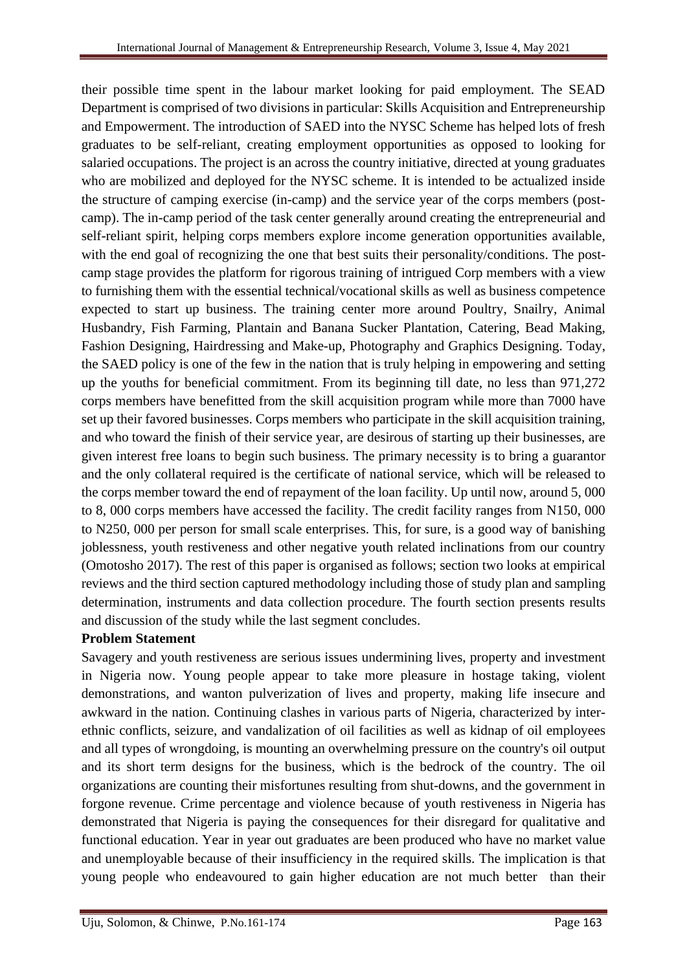their possible time spent in the labour market looking for paid employment. The SEAD Department is comprised of two divisions in particular: Skills Acquisition and Entrepreneurship and Empowerment. The introduction of SAED into the NYSC Scheme has helped lots of fresh graduates to be self-reliant, creating employment opportunities as opposed to looking for salaried occupations. The project is an across the country initiative, directed at young graduates who are mobilized and deployed for the NYSC scheme. It is intended to be actualized inside the structure of camping exercise (in-camp) and the service year of the corps members (postcamp). The in-camp period of the task center generally around creating the entrepreneurial and self-reliant spirit, helping corps members explore income generation opportunities available, with the end goal of recognizing the one that best suits their personality/conditions. The postcamp stage provides the platform for rigorous training of intrigued Corp members with a view to furnishing them with the essential technical/vocational skills as well as business competence expected to start up business. The training center more around Poultry, Snailry, Animal Husbandry, Fish Farming, Plantain and Banana Sucker Plantation, Catering, Bead Making, Fashion Designing, Hairdressing and Make-up, Photography and Graphics Designing. Today, the SAED policy is one of the few in the nation that is truly helping in empowering and setting up the youths for beneficial commitment. From its beginning till date, no less than 971,272 corps members have benefitted from the skill acquisition program while more than 7000 have set up their favored businesses. Corps members who participate in the skill acquisition training, and who toward the finish of their service year, are desirous of starting up their businesses, are given interest free loans to begin such business. The primary necessity is to bring a guarantor and the only collateral required is the certificate of national service, which will be released to the corps member toward the end of repayment of the loan facility. Up until now, around 5, 000 to 8, 000 corps members have accessed the facility. The credit facility ranges from N150, 000 to N250, 000 per person for small scale enterprises. This, for sure, is a good way of banishing joblessness, youth restiveness and other negative youth related inclinations from our country (Omotosho 2017). The rest of this paper is organised as follows; section two looks at empirical reviews and the third section captured methodology including those of study plan and sampling determination, instruments and data collection procedure. The fourth section presents results and discussion of the study while the last segment concludes.

## **Problem Statement**

Savagery and youth restiveness are serious issues undermining lives, property and investment in Nigeria now. Young people appear to take more pleasure in hostage taking, violent demonstrations, and wanton pulverization of lives and property, making life insecure and awkward in the nation. Continuing clashes in various parts of Nigeria, characterized by interethnic conflicts, seizure, and vandalization of oil facilities as well as kidnap of oil employees and all types of wrongdoing, is mounting an overwhelming pressure on the country's oil output and its short term designs for the business, which is the bedrock of the country. The oil organizations are counting their misfortunes resulting from shut-downs, and the government in forgone revenue. Crime percentage and violence because of youth restiveness in Nigeria has demonstrated that Nigeria is paying the consequences for their disregard for qualitative and functional education. Year in year out graduates are been produced who have no market value and unemployable because of their insufficiency in the required skills. The implication is that young people who endeavoured to gain higher education are not much better than their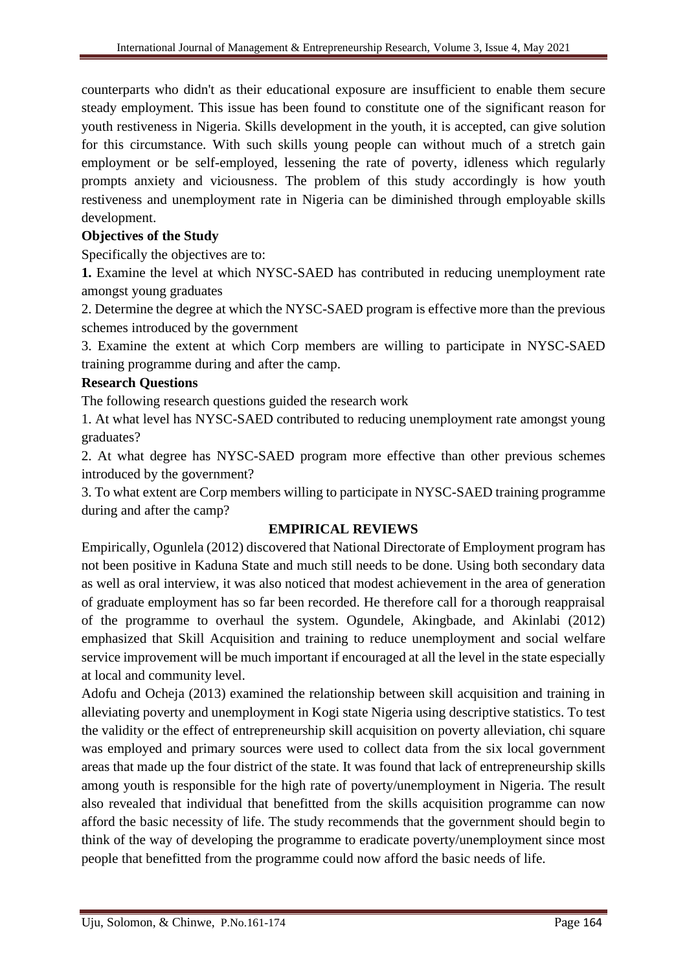counterparts who didn't as their educational exposure are insufficient to enable them secure steady employment. This issue has been found to constitute one of the significant reason for youth restiveness in Nigeria. Skills development in the youth, it is accepted, can give solution for this circumstance. With such skills young people can without much of a stretch gain employment or be self-employed, lessening the rate of poverty, idleness which regularly prompts anxiety and viciousness. The problem of this study accordingly is how youth restiveness and unemployment rate in Nigeria can be diminished through employable skills development.

# **Objectives of the Study**

Specifically the objectives are to:

**1.** Examine the level at which NYSC-SAED has contributed in reducing unemployment rate amongst young graduates

2. Determine the degree at which the NYSC-SAED program is effective more than the previous schemes introduced by the government

3. Examine the extent at which Corp members are willing to participate in NYSC-SAED training programme during and after the camp.

# **Research Questions**

The following research questions guided the research work

1. At what level has NYSC-SAED contributed to reducing unemployment rate amongst young graduates?

2. At what degree has NYSC-SAED program more effective than other previous schemes introduced by the government?

3. To what extent are Corp members willing to participate in NYSC-SAED training programme during and after the camp?

# **EMPIRICAL REVIEWS**

Empirically, Ogunlela (2012) discovered that National Directorate of Employment program has not been positive in Kaduna State and much still needs to be done. Using both secondary data as well as oral interview, it was also noticed that modest achievement in the area of generation of graduate employment has so far been recorded. He therefore call for a thorough reappraisal of the programme to overhaul the system. Ogundele, Akingbade, and Akinlabi (2012) emphasized that Skill Acquisition and training to reduce unemployment and social welfare service improvement will be much important if encouraged at all the level in the state especially at local and community level.

Adofu and Ocheja (2013) examined the relationship between skill acquisition and training in alleviating poverty and unemployment in Kogi state Nigeria using descriptive statistics. To test the validity or the effect of entrepreneurship skill acquisition on poverty alleviation, chi square was employed and primary sources were used to collect data from the six local government areas that made up the four district of the state. It was found that lack of entrepreneurship skills among youth is responsible for the high rate of poverty/unemployment in Nigeria. The result also revealed that individual that benefitted from the skills acquisition programme can now afford the basic necessity of life. The study recommends that the government should begin to think of the way of developing the programme to eradicate poverty/unemployment since most people that benefitted from the programme could now afford the basic needs of life.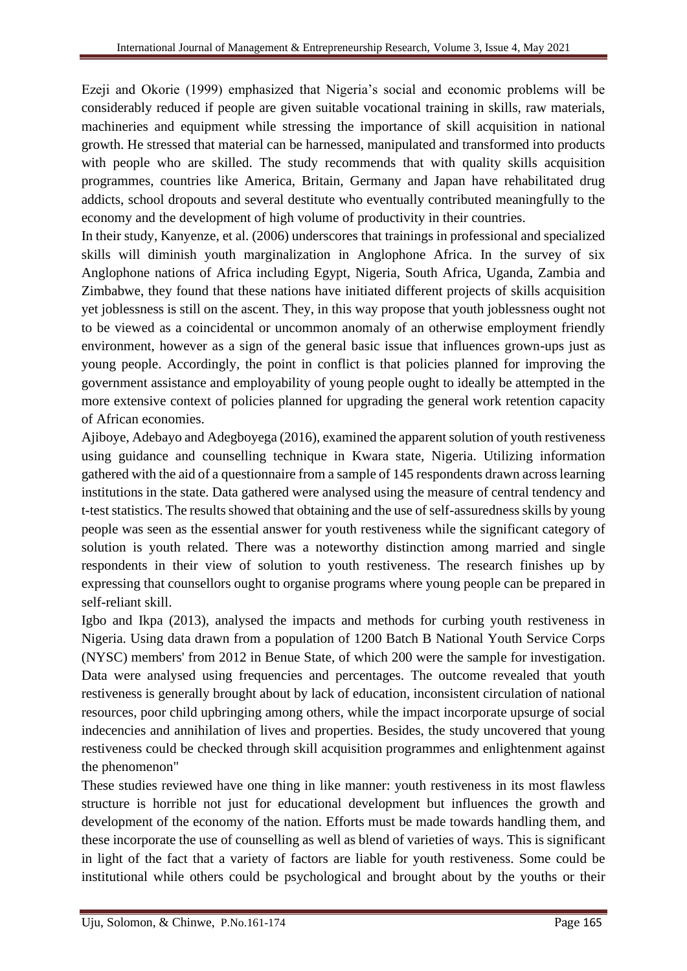Ezeji and Okorie (1999) emphasized that Nigeria's social and economic problems will be considerably reduced if people are given suitable vocational training in skills, raw materials, machineries and equipment while stressing the importance of skill acquisition in national growth. He stressed that material can be harnessed, manipulated and transformed into products with people who are skilled. The study recommends that with quality skills acquisition programmes, countries like America, Britain, Germany and Japan have rehabilitated drug addicts, school dropouts and several destitute who eventually contributed meaningfully to the economy and the development of high volume of productivity in their countries.

In their study, Kanyenze, et al. (2006) underscores that trainings in professional and specialized skills will diminish youth marginalization in Anglophone Africa. In the survey of six Anglophone nations of Africa including Egypt, Nigeria, South Africa, Uganda, Zambia and Zimbabwe, they found that these nations have initiated different projects of skills acquisition yet joblessness is still on the ascent. They, in this way propose that youth joblessness ought not to be viewed as a coincidental or uncommon anomaly of an otherwise employment friendly environment, however as a sign of the general basic issue that influences grown-ups just as young people. Accordingly, the point in conflict is that policies planned for improving the government assistance and employability of young people ought to ideally be attempted in the more extensive context of policies planned for upgrading the general work retention capacity of African economies.

Ajiboye, Adebayo and Adegboyega (2016), examined the apparent solution of youth restiveness using guidance and counselling technique in Kwara state, Nigeria. Utilizing information gathered with the aid of a questionnaire from a sample of 145 respondents drawn across learning institutions in the state. Data gathered were analysed using the measure of central tendency and t-test statistics. The results showed that obtaining and the use of self-assuredness skills by young people was seen as the essential answer for youth restiveness while the significant category of solution is youth related. There was a noteworthy distinction among married and single respondents in their view of solution to youth restiveness. The research finishes up by expressing that counsellors ought to organise programs where young people can be prepared in self-reliant skill.

Igbo and Ikpa (2013), analysed the impacts and methods for curbing youth restiveness in Nigeria. Using data drawn from a population of 1200 Batch B National Youth Service Corps (NYSC) members' from 2012 in Benue State, of which 200 were the sample for investigation. Data were analysed using frequencies and percentages. The outcome revealed that youth restiveness is generally brought about by lack of education, inconsistent circulation of national resources, poor child upbringing among others, while the impact incorporate upsurge of social indecencies and annihilation of lives and properties. Besides, the study uncovered that young restiveness could be checked through skill acquisition programmes and enlightenment against the phenomenon"

These studies reviewed have one thing in like manner: youth restiveness in its most flawless structure is horrible not just for educational development but influences the growth and development of the economy of the nation. Efforts must be made towards handling them, and these incorporate the use of counselling as well as blend of varieties of ways. This is significant in light of the fact that a variety of factors are liable for youth restiveness. Some could be institutional while others could be psychological and brought about by the youths or their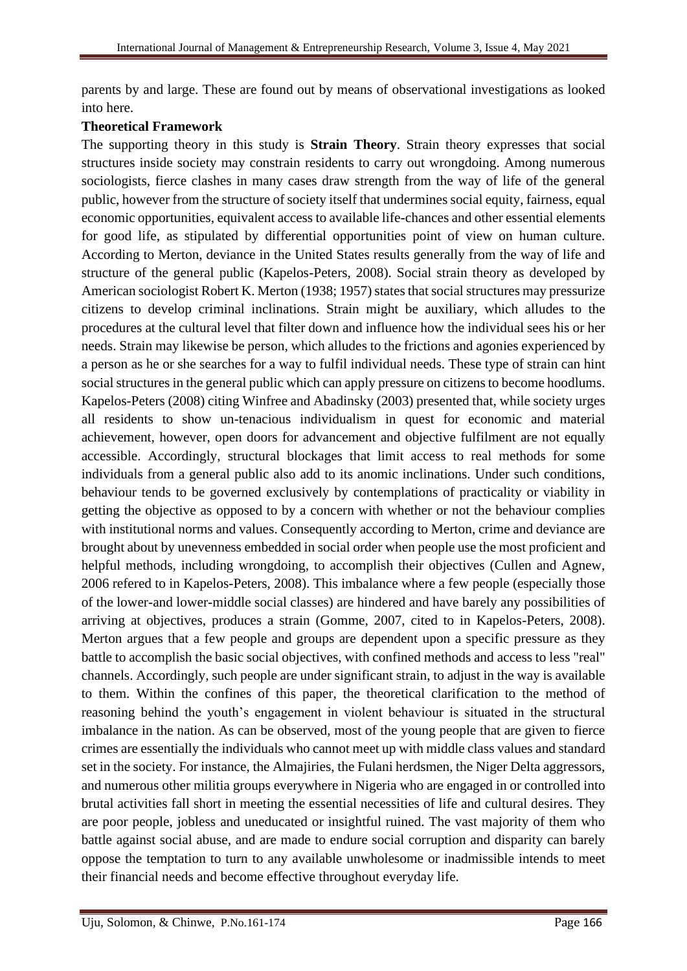parents by and large. These are found out by means of observational investigations as looked into here.

#### **Theoretical Framework**

The supporting theory in this study is **Strain Theory**. Strain theory expresses that social structures inside society may constrain residents to carry out wrongdoing. Among numerous sociologists, fierce clashes in many cases draw strength from the way of life of the general public, however from the structure of society itself that undermines social equity, fairness, equal economic opportunities, equivalent access to available life-chances and other essential elements for good life, as stipulated by differential opportunities point of view on human culture. According to Merton, deviance in the United States results generally from the way of life and structure of the general public (Kapelos-Peters, 2008). Social strain theory as developed by American sociologist Robert K. Merton (1938; 1957) states that social structures may pressurize citizens to develop criminal inclinations. Strain might be auxiliary, which alludes to the procedures at the cultural level that filter down and influence how the individual sees his or her needs. Strain may likewise be person, which alludes to the frictions and agonies experienced by a person as he or she searches for a way to fulfil individual needs. These type of strain can hint social structures in the general public which can apply pressure on citizens to become hoodlums. Kapelos-Peters (2008) citing Winfree and Abadinsky (2003) presented that, while society urges all residents to show un-tenacious individualism in quest for economic and material achievement, however, open doors for advancement and objective fulfilment are not equally accessible. Accordingly, structural blockages that limit access to real methods for some individuals from a general public also add to its anomic inclinations. Under such conditions, behaviour tends to be governed exclusively by contemplations of practicality or viability in getting the objective as opposed to by a concern with whether or not the behaviour complies with institutional norms and values. Consequently according to Merton, crime and deviance are brought about by unevenness embedded in social order when people use the most proficient and helpful methods, including wrongdoing, to accomplish their objectives (Cullen and Agnew, 2006 refered to in Kapelos-Peters, 2008). This imbalance where a few people (especially those of the lower-and lower-middle social classes) are hindered and have barely any possibilities of arriving at objectives, produces a strain (Gomme, 2007, cited to in Kapelos-Peters, 2008). Merton argues that a few people and groups are dependent upon a specific pressure as they battle to accomplish the basic social objectives, with confined methods and access to less "real" channels. Accordingly, such people are under significant strain, to adjust in the way is available to them. Within the confines of this paper, the theoretical clarification to the method of reasoning behind the youth's engagement in violent behaviour is situated in the structural imbalance in the nation. As can be observed, most of the young people that are given to fierce crimes are essentially the individuals who cannot meet up with middle class values and standard set in the society. For instance, the Almajiries, the Fulani herdsmen, the Niger Delta aggressors, and numerous other militia groups everywhere in Nigeria who are engaged in or controlled into brutal activities fall short in meeting the essential necessities of life and cultural desires. They are poor people, jobless and uneducated or insightful ruined. The vast majority of them who battle against social abuse, and are made to endure social corruption and disparity can barely oppose the temptation to turn to any available unwholesome or inadmissible intends to meet their financial needs and become effective throughout everyday life.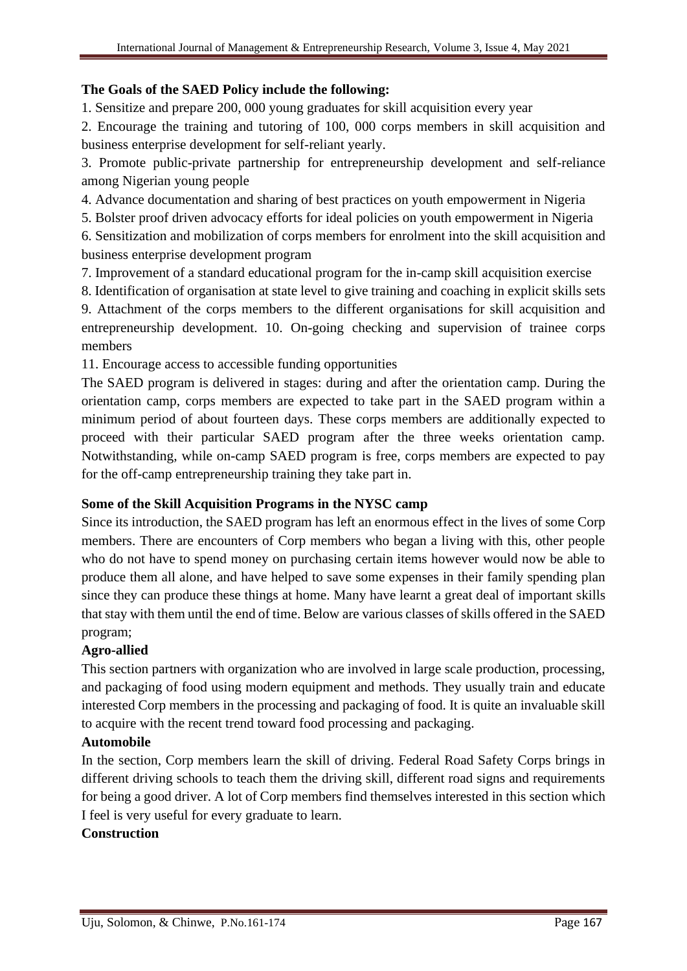## **The Goals of the SAED Policy include the following:**

1. Sensitize and prepare 200, 000 young graduates for skill acquisition every year

2. Encourage the training and tutoring of 100, 000 corps members in skill acquisition and business enterprise development for self-reliant yearly.

3. Promote public-private partnership for entrepreneurship development and self-reliance among Nigerian young people

4. Advance documentation and sharing of best practices on youth empowerment in Nigeria

5. Bolster proof driven advocacy efforts for ideal policies on youth empowerment in Nigeria

6. Sensitization and mobilization of corps members for enrolment into the skill acquisition and business enterprise development program

7. Improvement of a standard educational program for the in-camp skill acquisition exercise

8. Identification of organisation at state level to give training and coaching in explicit skills sets

9. Attachment of the corps members to the different organisations for skill acquisition and entrepreneurship development. 10. On-going checking and supervision of trainee corps members

11. Encourage access to accessible funding opportunities

The SAED program is delivered in stages: during and after the orientation camp. During the orientation camp, corps members are expected to take part in the SAED program within a minimum period of about fourteen days. These corps members are additionally expected to proceed with their particular SAED program after the three weeks orientation camp. Notwithstanding, while on-camp SAED program is free, corps members are expected to pay for the off-camp entrepreneurship training they take part in.

# **Some of the Skill Acquisition Programs in the NYSC camp**

Since its introduction, the SAED program has left an enormous effect in the lives of some Corp members. There are encounters of Corp members who began a living with this, other people who do not have to spend money on purchasing certain items however would now be able to produce them all alone, and have helped to save some expenses in their family spending plan since they can produce these things at home. Many have learnt a great deal of important skills that stay with them until the end of time. Below are various classes of skills offered in the SAED program;

# **Agro-allied**

This section partners with organization who are involved in large scale production, processing, and packaging of food using modern equipment and methods. They usually train and educate interested Corp members in the processing and packaging of food. It is quite an invaluable skill to acquire with the recent trend toward food processing and packaging.

## **Automobile**

In the section, Corp members learn the skill of driving. Federal Road Safety Corps brings in different driving schools to teach them the driving skill, different road signs and requirements for being a good driver. A lot of Corp members find themselves interested in this section which I feel is very useful for every graduate to learn.

## **Construction**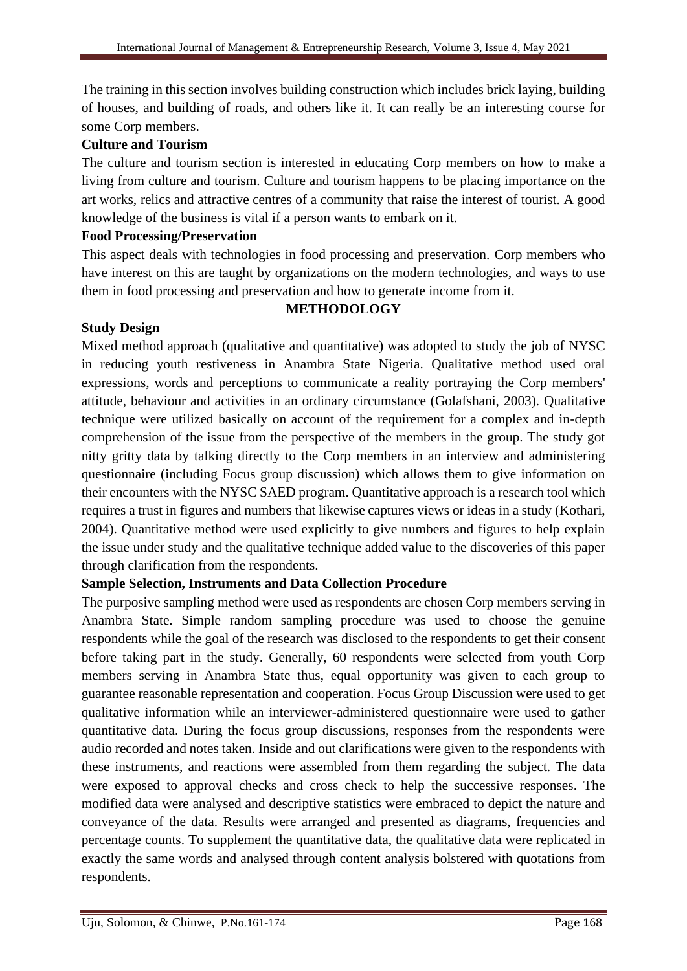The training in this section involves building construction which includes brick laying, building of houses, and building of roads, and others like it. It can really be an interesting course for some Corp members.

### **Culture and Tourism**

The culture and tourism section is interested in educating Corp members on how to make a living from culture and tourism. Culture and tourism happens to be placing importance on the art works, relics and attractive centres of a community that raise the interest of tourist. A good knowledge of the business is vital if a person wants to embark on it.

#### **Food Processing/Preservation**

This aspect deals with technologies in food processing and preservation. Corp members who have interest on this are taught by organizations on the modern technologies, and ways to use them in food processing and preservation and how to generate income from it.

#### **METHODOLOGY**

#### **Study Design**

Mixed method approach (qualitative and quantitative) was adopted to study the job of NYSC in reducing youth restiveness in Anambra State Nigeria. Qualitative method used oral expressions, words and perceptions to communicate a reality portraying the Corp members' attitude, behaviour and activities in an ordinary circumstance (Golafshani, 2003). Qualitative technique were utilized basically on account of the requirement for a complex and in-depth comprehension of the issue from the perspective of the members in the group. The study got nitty gritty data by talking directly to the Corp members in an interview and administering questionnaire (including Focus group discussion) which allows them to give information on their encounters with the NYSC SAED program. Quantitative approach is a research tool which requires a trust in figures and numbers that likewise captures views or ideas in a study (Kothari, 2004). Quantitative method were used explicitly to give numbers and figures to help explain the issue under study and the qualitative technique added value to the discoveries of this paper through clarification from the respondents.

#### **Sample Selection, Instruments and Data Collection Procedure**

The purposive sampling method were used as respondents are chosen Corp members serving in Anambra State. Simple random sampling procedure was used to choose the genuine respondents while the goal of the research was disclosed to the respondents to get their consent before taking part in the study. Generally, 60 respondents were selected from youth Corp members serving in Anambra State thus, equal opportunity was given to each group to guarantee reasonable representation and cooperation. Focus Group Discussion were used to get qualitative information while an interviewer-administered questionnaire were used to gather quantitative data. During the focus group discussions, responses from the respondents were audio recorded and notes taken. Inside and out clarifications were given to the respondents with these instruments, and reactions were assembled from them regarding the subject. The data were exposed to approval checks and cross check to help the successive responses. The modified data were analysed and descriptive statistics were embraced to depict the nature and conveyance of the data. Results were arranged and presented as diagrams, frequencies and percentage counts. To supplement the quantitative data, the qualitative data were replicated in exactly the same words and analysed through content analysis bolstered with quotations from respondents.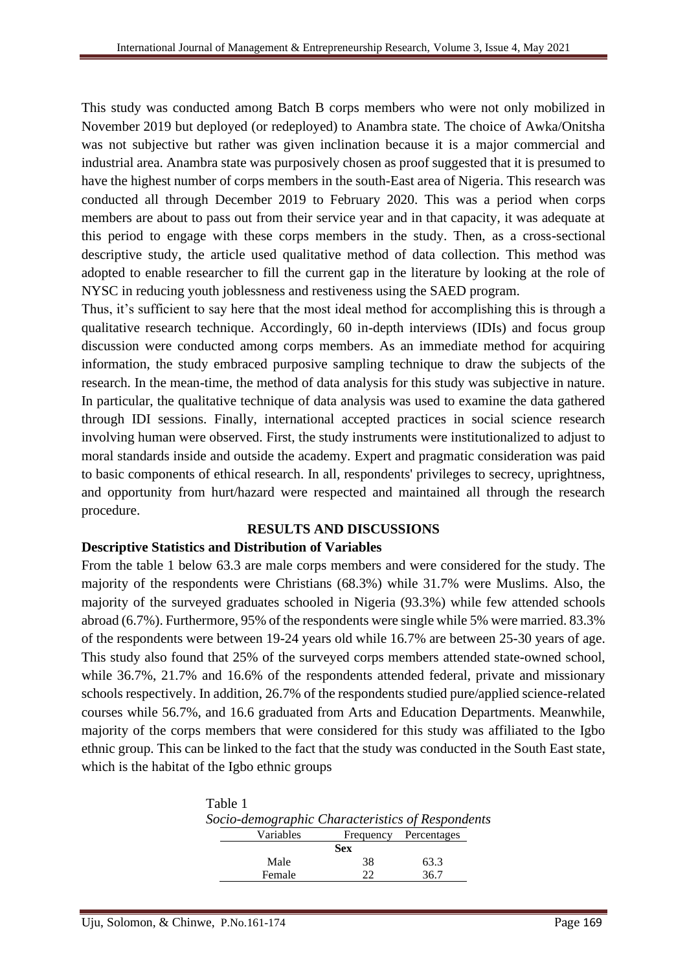This study was conducted among Batch B corps members who were not only mobilized in November 2019 but deployed (or redeployed) to Anambra state. The choice of Awka/Onitsha was not subjective but rather was given inclination because it is a major commercial and industrial area. Anambra state was purposively chosen as proof suggested that it is presumed to have the highest number of corps members in the south-East area of Nigeria. This research was conducted all through December 2019 to February 2020. This was a period when corps members are about to pass out from their service year and in that capacity, it was adequate at this period to engage with these corps members in the study. Then, as a cross-sectional descriptive study, the article used qualitative method of data collection. This method was adopted to enable researcher to fill the current gap in the literature by looking at the role of NYSC in reducing youth joblessness and restiveness using the SAED program.

Thus, it's sufficient to say here that the most ideal method for accomplishing this is through a qualitative research technique. Accordingly, 60 in-depth interviews (IDIs) and focus group discussion were conducted among corps members. As an immediate method for acquiring information, the study embraced purposive sampling technique to draw the subjects of the research. In the mean-time, the method of data analysis for this study was subjective in nature. In particular, the qualitative technique of data analysis was used to examine the data gathered through IDI sessions. Finally, international accepted practices in social science research involving human were observed. First, the study instruments were institutionalized to adjust to moral standards inside and outside the academy. Expert and pragmatic consideration was paid to basic components of ethical research. In all, respondents' privileges to secrecy, uprightness, and opportunity from hurt/hazard were respected and maintained all through the research procedure.

#### **RESULTS AND DISCUSSIONS**

#### **Descriptive Statistics and Distribution of Variables**

From the table 1 below 63.3 are male corps members and were considered for the study. The majority of the respondents were Christians (68.3%) while 31.7% were Muslims. Also, the majority of the surveyed graduates schooled in Nigeria (93.3%) while few attended schools abroad (6.7%). Furthermore, 95% of the respondents were single while 5% were married. 83.3% of the respondents were between 19-24 years old while 16.7% are between 25-30 years of age. This study also found that 25% of the surveyed corps members attended state-owned school, while 36.7%, 21.7% and 16.6% of the respondents attended federal, private and missionary schools respectively. In addition, 26.7% of the respondents studied pure/applied science-related courses while 56.7%, and 16.6 graduated from Arts and Education Departments. Meanwhile, majority of the corps members that were considered for this study was affiliated to the Igbo ethnic group. This can be linked to the fact that the study was conducted in the South East state, which is the habitat of the Igbo ethnic groups

| Table 1                                          |            |                       |  |
|--------------------------------------------------|------------|-----------------------|--|
| Socio-demographic Characteristics of Respondents |            |                       |  |
| Variables                                        |            | Frequency Percentages |  |
|                                                  | <b>Sex</b> |                       |  |
| Male                                             | 38         | 63.3                  |  |
| Female                                           |            | 367                   |  |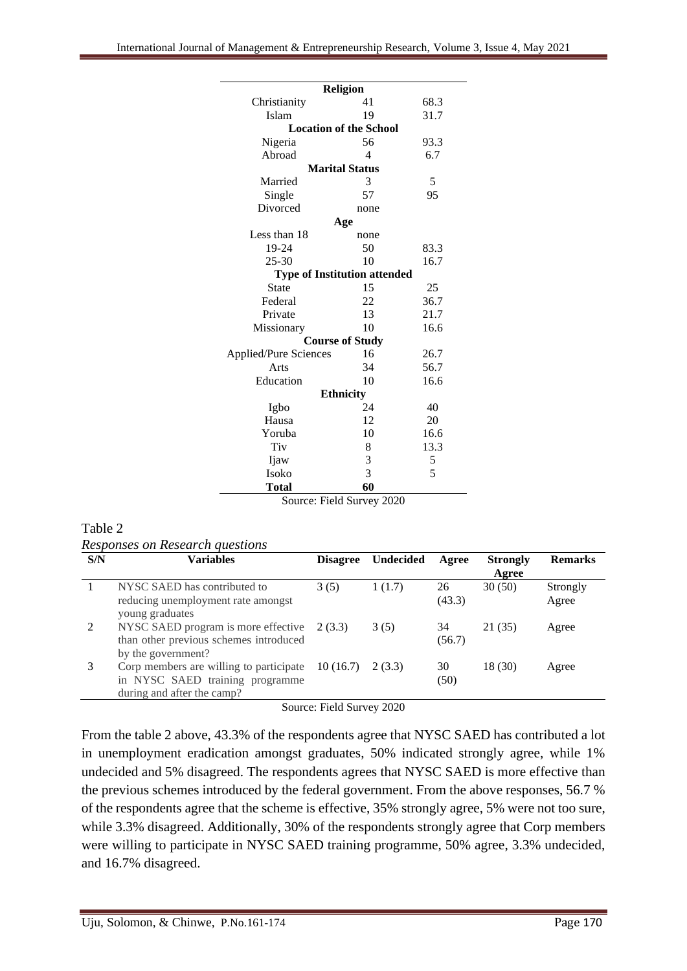| <b>Religion</b>                     |                |      |  |  |  |  |  |  |
|-------------------------------------|----------------|------|--|--|--|--|--|--|
| Christianity                        | 41             | 68.3 |  |  |  |  |  |  |
| Islam                               | 19             | 31.7 |  |  |  |  |  |  |
| <b>Location of the School</b>       |                |      |  |  |  |  |  |  |
| Nigeria                             | 56             | 93.3 |  |  |  |  |  |  |
| Abroad                              | $\overline{4}$ | 6.7  |  |  |  |  |  |  |
| <b>Marital Status</b>               |                |      |  |  |  |  |  |  |
| Married                             | 3              | 5    |  |  |  |  |  |  |
| Single                              | 57             | 95   |  |  |  |  |  |  |
| Divorced                            | none           |      |  |  |  |  |  |  |
| Age                                 |                |      |  |  |  |  |  |  |
| Less than 18                        | none           |      |  |  |  |  |  |  |
| 19-24                               | 50             | 83.3 |  |  |  |  |  |  |
| $25 - 30$                           | 10             | 16.7 |  |  |  |  |  |  |
| <b>Type of Institution attended</b> |                |      |  |  |  |  |  |  |
| State                               | 15             | 25   |  |  |  |  |  |  |
| Federal                             | 22             | 36.7 |  |  |  |  |  |  |
| Private                             | 13             | 21.7 |  |  |  |  |  |  |
| Missionary                          | 10             | 16.6 |  |  |  |  |  |  |
| <b>Course of Study</b>              |                |      |  |  |  |  |  |  |
| Applied/Pure Sciences               | 16             | 26.7 |  |  |  |  |  |  |
| Arts                                | 34             | 56.7 |  |  |  |  |  |  |
| Education                           | 10             | 16.6 |  |  |  |  |  |  |
| <b>Ethnicity</b>                    |                |      |  |  |  |  |  |  |
| Igbo                                | 24             | 40   |  |  |  |  |  |  |
| Hausa                               | 12             | 20   |  |  |  |  |  |  |
| Yoruba                              | 10             | 16.6 |  |  |  |  |  |  |
| Tiv                                 | 8              | 13.3 |  |  |  |  |  |  |
| Ijaw                                | 3              | 5    |  |  |  |  |  |  |
| Isoko                               | 3              | 5    |  |  |  |  |  |  |
| <b>Total</b>                        | 60             |      |  |  |  |  |  |  |

Source: Field Survey 2020

#### Table 2

*Responses on Research questions*

| S/N | <b>Variables</b>                                                                       | <b>Disagree</b> | <b>Undecided</b> | Agree        | <b>Strongly</b><br>Agree | <b>Remarks</b> |
|-----|----------------------------------------------------------------------------------------|-----------------|------------------|--------------|--------------------------|----------------|
|     | NYSC SAED has contributed to                                                           | 3(5)            | 1(1.7)           | 26           | 30(50)                   | Strongly       |
|     | reducing unemployment rate amongst<br>young graduates                                  |                 |                  | (43.3)       |                          | Agree          |
|     | NYSC SAED program is more effective $2(3.3)$<br>than other previous schemes introduced |                 | 3(5)             | 34<br>(56.7) | 21 (35)                  | Agree          |
|     | by the government?                                                                     |                 |                  |              |                          |                |
|     | Corp members are willing to participate                                                | 10(16.7)        | 2(3.3)           | 30           | 18 (30)                  | Agree          |
|     | in NYSC SAED training programme<br>during and after the camp?                          |                 |                  | (50)         |                          |                |

Source: Field Survey 2020

From the table 2 above, 43.3% of the respondents agree that NYSC SAED has contributed a lot in unemployment eradication amongst graduates, 50% indicated strongly agree, while 1% undecided and 5% disagreed. The respondents agrees that NYSC SAED is more effective than the previous schemes introduced by the federal government. From the above responses, 56.7 % of the respondents agree that the scheme is effective, 35% strongly agree, 5% were not too sure, while 3.3% disagreed. Additionally, 30% of the respondents strongly agree that Corp members were willing to participate in NYSC SAED training programme, 50% agree, 3.3% undecided, and 16.7% disagreed.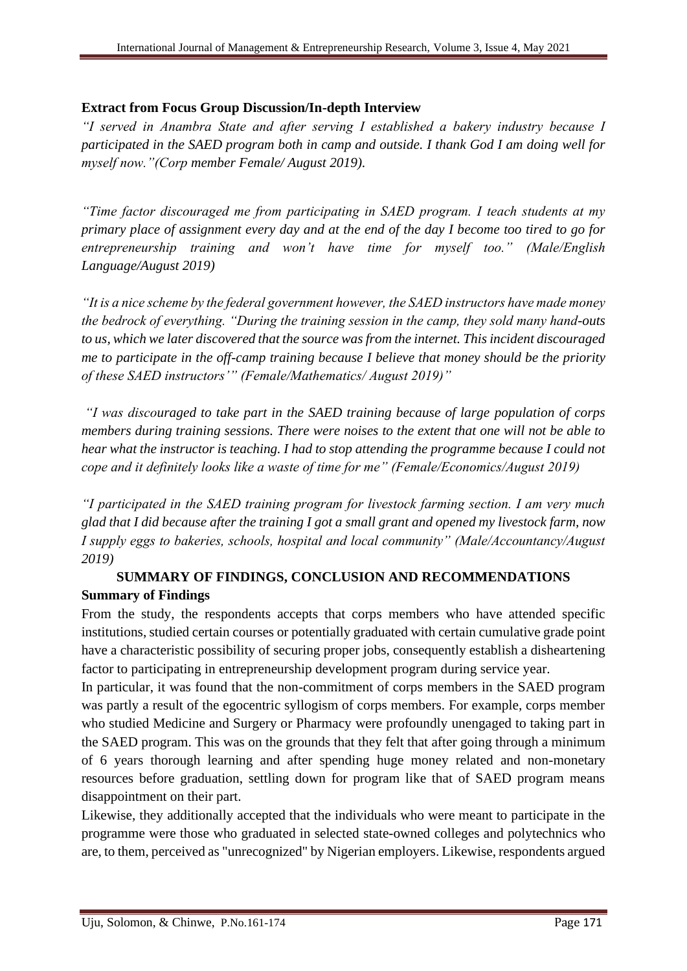#### **Extract from Focus Group Discussion/In-depth Interview**

*"I served in Anambra State and after serving I established a bakery industry because I participated in the SAED program both in camp and outside. I thank God I am doing well for myself now."(Corp member Female/ August 2019).*

*"Time factor discouraged me from participating in SAED program. I teach students at my primary place of assignment every day and at the end of the day I become too tired to go for entrepreneurship training and won't have time for myself too." (Male/English Language/August 2019)*

*"It is a nice scheme by the federal government however, the SAED instructors have made money the bedrock of everything. "During the training session in the camp, they sold many hand-outs to us, which we later discovered that the source was from the internet. This incident discouraged me to participate in the off-camp training because I believe that money should be the priority of these SAED instructors'" (Female/Mathematics/ August 2019)"* 

*"I was discouraged to take part in the SAED training because of large population of corps members during training sessions. There were noises to the extent that one will not be able to hear what the instructor is teaching. I had to stop attending the programme because I could not cope and it definitely looks like a waste of time for me" (Female/Economics/August 2019)* 

*"I participated in the SAED training program for livestock farming section. I am very much glad that I did because after the training I got a small grant and opened my livestock farm, now I supply eggs to bakeries, schools, hospital and local community" (Male/Accountancy/August 2019)* 

# **SUMMARY OF FINDINGS, CONCLUSION AND RECOMMENDATIONS Summary of Findings**

From the study, the respondents accepts that corps members who have attended specific institutions, studied certain courses or potentially graduated with certain cumulative grade point have a characteristic possibility of securing proper jobs, consequently establish a disheartening factor to participating in entrepreneurship development program during service year.

In particular, it was found that the non-commitment of corps members in the SAED program was partly a result of the egocentric syllogism of corps members. For example, corps member who studied Medicine and Surgery or Pharmacy were profoundly unengaged to taking part in the SAED program. This was on the grounds that they felt that after going through a minimum of 6 years thorough learning and after spending huge money related and non-monetary resources before graduation, settling down for program like that of SAED program means disappointment on their part.

Likewise, they additionally accepted that the individuals who were meant to participate in the programme were those who graduated in selected state-owned colleges and polytechnics who are, to them, perceived as "unrecognized" by Nigerian employers. Likewise, respondents argued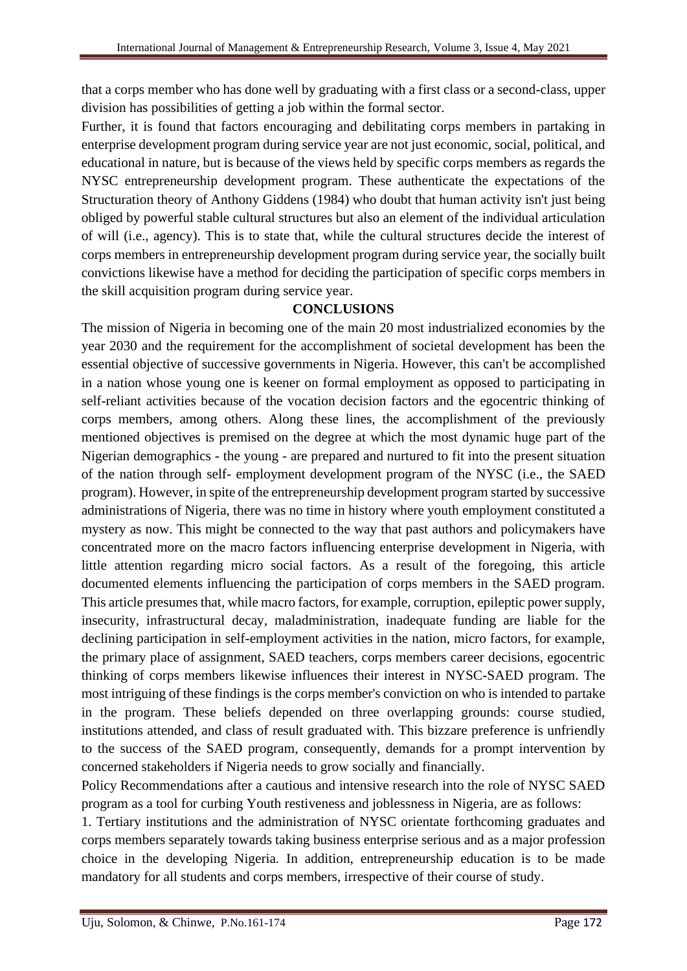that a corps member who has done well by graduating with a first class or a second-class, upper division has possibilities of getting a job within the formal sector.

Further, it is found that factors encouraging and debilitating corps members in partaking in enterprise development program during service year are not just economic, social, political, and educational in nature, but is because of the views held by specific corps members as regards the NYSC entrepreneurship development program. These authenticate the expectations of the Structuration theory of Anthony Giddens (1984) who doubt that human activity isn't just being obliged by powerful stable cultural structures but also an element of the individual articulation of will (i.e., agency). This is to state that, while the cultural structures decide the interest of corps members in entrepreneurship development program during service year, the socially built convictions likewise have a method for deciding the participation of specific corps members in the skill acquisition program during service year.

#### **CONCLUSIONS**

The mission of Nigeria in becoming one of the main 20 most industrialized economies by the year 2030 and the requirement for the accomplishment of societal development has been the essential objective of successive governments in Nigeria. However, this can't be accomplished in a nation whose young one is keener on formal employment as opposed to participating in self-reliant activities because of the vocation decision factors and the egocentric thinking of corps members, among others. Along these lines, the accomplishment of the previously mentioned objectives is premised on the degree at which the most dynamic huge part of the Nigerian demographics - the young - are prepared and nurtured to fit into the present situation of the nation through self- employment development program of the NYSC (i.e., the SAED program). However, in spite of the entrepreneurship development program started by successive administrations of Nigeria, there was no time in history where youth employment constituted a mystery as now. This might be connected to the way that past authors and policymakers have concentrated more on the macro factors influencing enterprise development in Nigeria, with little attention regarding micro social factors. As a result of the foregoing, this article documented elements influencing the participation of corps members in the SAED program. This article presumes that, while macro factors, for example, corruption, epileptic power supply, insecurity, infrastructural decay, maladministration, inadequate funding are liable for the declining participation in self-employment activities in the nation, micro factors, for example, the primary place of assignment, SAED teachers, corps members career decisions, egocentric thinking of corps members likewise influences their interest in NYSC-SAED program. The most intriguing of these findings is the corps member's conviction on who is intended to partake in the program. These beliefs depended on three overlapping grounds: course studied, institutions attended, and class of result graduated with. This bizzare preference is unfriendly to the success of the SAED program, consequently, demands for a prompt intervention by concerned stakeholders if Nigeria needs to grow socially and financially.

Policy Recommendations after a cautious and intensive research into the role of NYSC SAED program as a tool for curbing Youth restiveness and joblessness in Nigeria, are as follows:

1. Tertiary institutions and the administration of NYSC orientate forthcoming graduates and corps members separately towards taking business enterprise serious and as a major profession choice in the developing Nigeria. In addition, entrepreneurship education is to be made mandatory for all students and corps members, irrespective of their course of study.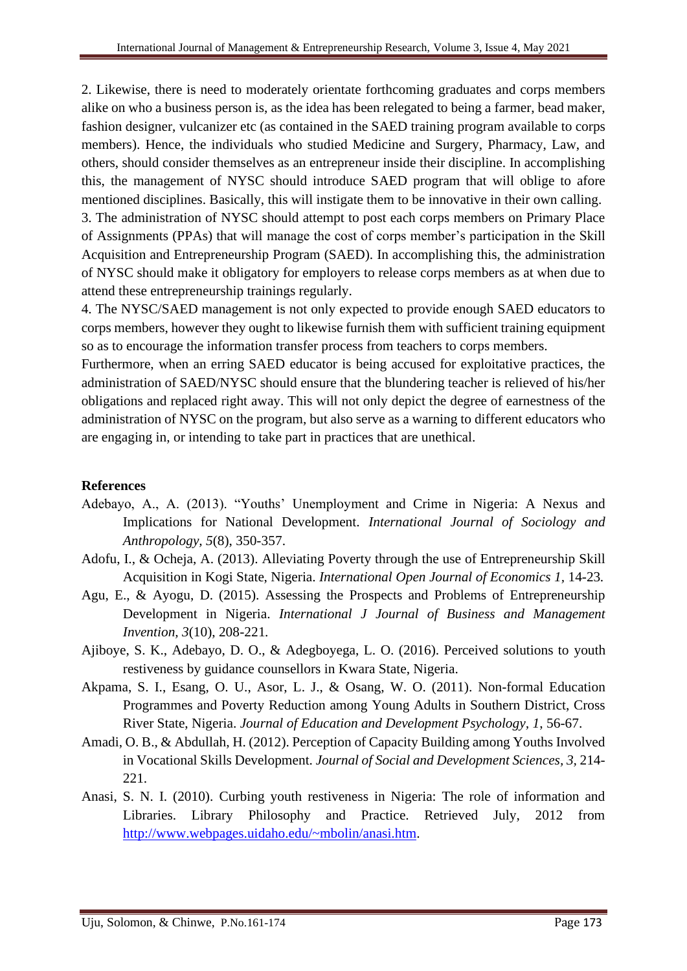2. Likewise, there is need to moderately orientate forthcoming graduates and corps members alike on who a business person is, as the idea has been relegated to being a farmer, bead maker, fashion designer, vulcanizer etc (as contained in the SAED training program available to corps members). Hence, the individuals who studied Medicine and Surgery, Pharmacy, Law, and others, should consider themselves as an entrepreneur inside their discipline. In accomplishing this, the management of NYSC should introduce SAED program that will oblige to afore mentioned disciplines. Basically, this will instigate them to be innovative in their own calling. 3. The administration of NYSC should attempt to post each corps members on Primary Place of Assignments (PPAs) that will manage the cost of corps member's participation in the Skill Acquisition and Entrepreneurship Program (SAED). In accomplishing this, the administration of NYSC should make it obligatory for employers to release corps members as at when due to attend these entrepreneurship trainings regularly.

4. The NYSC/SAED management is not only expected to provide enough SAED educators to corps members, however they ought to likewise furnish them with sufficient training equipment so as to encourage the information transfer process from teachers to corps members.

Furthermore, when an erring SAED educator is being accused for exploitative practices, the administration of SAED/NYSC should ensure that the blundering teacher is relieved of his/her obligations and replaced right away. This will not only depict the degree of earnestness of the administration of NYSC on the program, but also serve as a warning to different educators who are engaging in, or intending to take part in practices that are unethical.

### **References**

- Adebayo, A., A. (2013). "Youths' Unemployment and Crime in Nigeria: A Nexus and Implications for National Development. *International Journal of Sociology and Anthropology, 5*(8), 350-357.
- Adofu, I., & Ocheja, A. (2013). Alleviating Poverty through the use of Entrepreneurship Skill Acquisition in Kogi State, Nigeria. *International Open Journal of Economics 1,* 14-23*.*
- Agu, E., & Ayogu, D. (2015). Assessing the Prospects and Problems of Entrepreneurship Development in Nigeria. *International J Journal of Business and Management Invention, 3*(10), 208-221*.*
- Ajiboye, S. K., Adebayo, D. O., & Adegboyega, L. O. (2016). Perceived solutions to youth restiveness by guidance counsellors in Kwara State, Nigeria.
- Akpama, S. I., Esang, O. U., Asor, L. J., & Osang, W. O. (2011). Non-formal Education Programmes and Poverty Reduction among Young Adults in Southern District, Cross River State, Nigeria. *Journal of Education and Development Psychology, 1*, 56-67.
- Amadi, O. B., & Abdullah, H. (2012). Perception of Capacity Building among Youths Involved in Vocational Skills Development. *Journal of Social and Development Sciences, 3,* 214- 221.
- Anasi, S. N. I. (2010). Curbing youth restiveness in Nigeria: The role of information and Libraries. Library Philosophy and Practice. Retrieved July, 2012 from [http://www.webpages.uidaho.edu/~mbolin/anasi.htm.](http://www.webpages.uidaho.edu/~mbolin/anasi.htm)